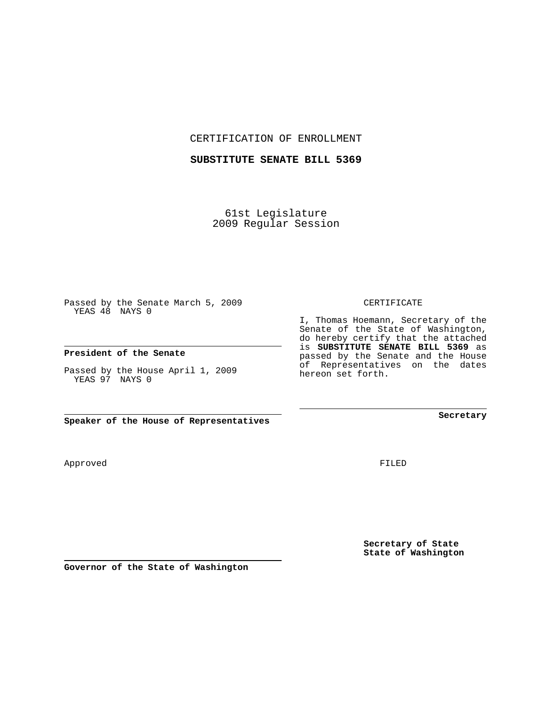CERTIFICATION OF ENROLLMENT

## **SUBSTITUTE SENATE BILL 5369**

61st Legislature 2009 Regular Session

Passed by the Senate March 5, 2009 YEAS 48 NAYS 0

## **President of the Senate**

Passed by the House April 1, 2009 YEAS 97 NAYS 0

**Speaker of the House of Representatives**

Approved

FILED

**Secretary of State State of Washington**

**Secretary**

CERTIFICATE

I, Thomas Hoemann, Secretary of the Senate of the State of Washington, do hereby certify that the attached is **SUBSTITUTE SENATE BILL 5369** as passed by the Senate and the House of Representatives on the dates hereon set forth.

**Governor of the State of Washington**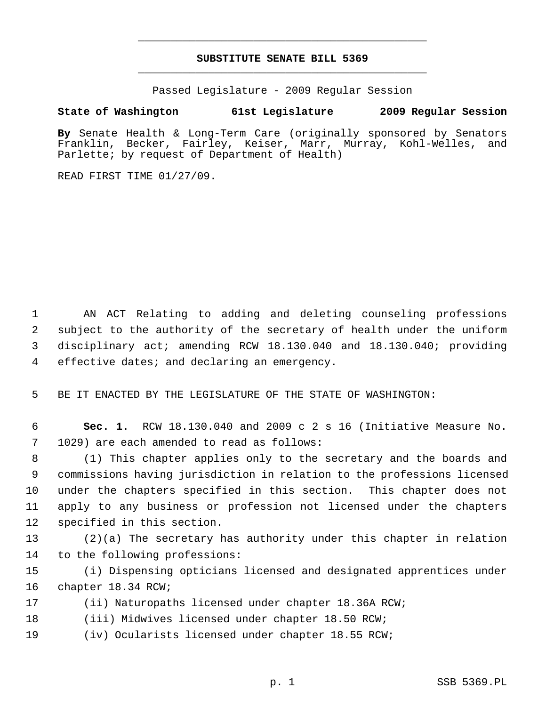## **SUBSTITUTE SENATE BILL 5369** \_\_\_\_\_\_\_\_\_\_\_\_\_\_\_\_\_\_\_\_\_\_\_\_\_\_\_\_\_\_\_\_\_\_\_\_\_\_\_\_\_\_\_\_\_

\_\_\_\_\_\_\_\_\_\_\_\_\_\_\_\_\_\_\_\_\_\_\_\_\_\_\_\_\_\_\_\_\_\_\_\_\_\_\_\_\_\_\_\_\_

Passed Legislature - 2009 Regular Session

## **State of Washington 61st Legislature 2009 Regular Session**

**By** Senate Health & Long-Term Care (originally sponsored by Senators Franklin, Becker, Fairley, Keiser, Marr, Murray, Kohl-Welles, and Parlette; by request of Department of Health)

READ FIRST TIME 01/27/09.

 1 AN ACT Relating to adding and deleting counseling professions 2 subject to the authority of the secretary of health under the uniform 3 disciplinary act; amending RCW 18.130.040 and 18.130.040; providing 4 effective dates; and declaring an emergency.

5 BE IT ENACTED BY THE LEGISLATURE OF THE STATE OF WASHINGTON:

 6 **Sec. 1.** RCW 18.130.040 and 2009 c 2 s 16 (Initiative Measure No. 7 1029) are each amended to read as follows:

 8 (1) This chapter applies only to the secretary and the boards and 9 commissions having jurisdiction in relation to the professions licensed 10 under the chapters specified in this section. This chapter does not 11 apply to any business or profession not licensed under the chapters 12 specified in this section.

13 (2)(a) The secretary has authority under this chapter in relation 14 to the following professions:

15 (i) Dispensing opticians licensed and designated apprentices under 16 chapter 18.34 RCW;

- 17 (ii) Naturopaths licensed under chapter 18.36A RCW;
- 18 (iii) Midwives licensed under chapter 18.50 RCW;
- 19 (iv) Ocularists licensed under chapter 18.55 RCW;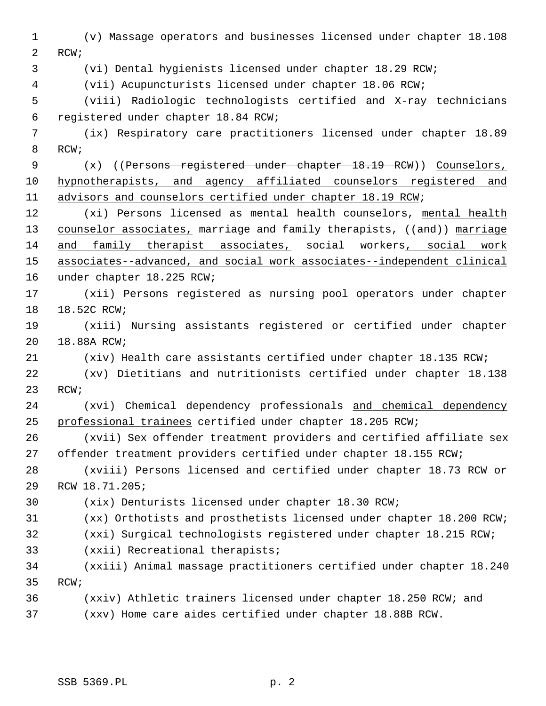1 (v) Massage operators and businesses licensed under chapter 18.108 2 RCW; 3 (vi) Dental hygienists licensed under chapter 18.29 RCW; 4 (vii) Acupuncturists licensed under chapter 18.06 RCW; 5 (viii) Radiologic technologists certified and X-ray technicians 6 registered under chapter 18.84 RCW; 7 (ix) Respiratory care practitioners licensed under chapter 18.89 8 RCW; 9 (x) ((Persons registered under chapter 18.19 RCW)) Counselors, 10 hypnotherapists, and agency affiliated counselors registered and 11 advisors and counselors certified under chapter 18.19 RCW; 12 (xi) Persons licensed as mental health counselors, mental health 13 counselor associates, marriage and family therapists, ((and)) marriage 14 and family therapist associates, social workers, social work 15 associates--advanced, and social work associates--independent clinical 16 under chapter 18.225 RCW; 17 (xii) Persons registered as nursing pool operators under chapter 18 18.52C RCW; 19 (xiii) Nursing assistants registered or certified under chapter 20 18.88A RCW; 21 (xiv) Health care assistants certified under chapter 18.135 RCW; 22 (xv) Dietitians and nutritionists certified under chapter 18.138 23 RCW; 24 (xvi) Chemical dependency professionals and chemical dependency 25 professional trainees certified under chapter 18.205 RCW; 26 (xvii) Sex offender treatment providers and certified affiliate sex 27 offender treatment providers certified under chapter 18.155 RCW; 28 (xviii) Persons licensed and certified under chapter 18.73 RCW or 29 RCW 18.71.205; 30 (xix) Denturists licensed under chapter 18.30 RCW; 31 (xx) Orthotists and prosthetists licensed under chapter 18.200 RCW; 32 (xxi) Surgical technologists registered under chapter 18.215 RCW; 33 (xxii) Recreational therapists; 34 (xxiii) Animal massage practitioners certified under chapter 18.240 35 RCW; 36 (xxiv) Athletic trainers licensed under chapter 18.250 RCW; and 37 (xxv) Home care aides certified under chapter 18.88B RCW.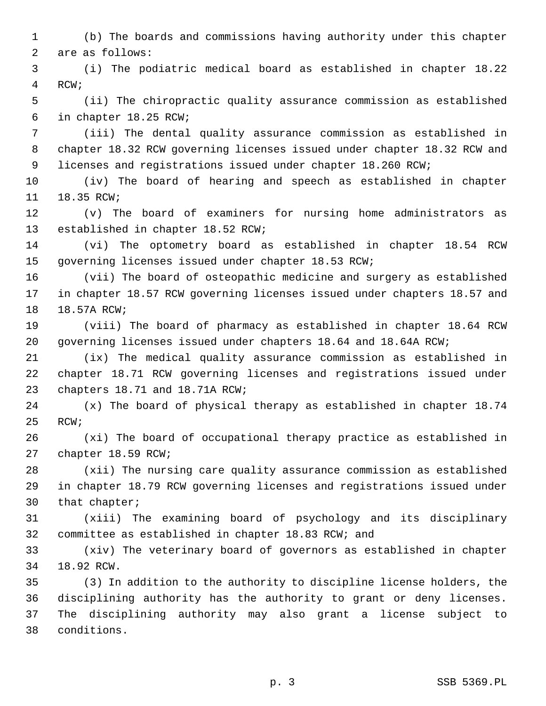1 (b) The boards and commissions having authority under this chapter 2 are as follows:

 3 (i) The podiatric medical board as established in chapter 18.22 4 RCW;

 5 (ii) The chiropractic quality assurance commission as established 6 in chapter 18.25 RCW;

 7 (iii) The dental quality assurance commission as established in 8 chapter 18.32 RCW governing licenses issued under chapter 18.32 RCW and 9 licenses and registrations issued under chapter 18.260 RCW;

10 (iv) The board of hearing and speech as established in chapter 11 18.35 RCW;

12 (v) The board of examiners for nursing home administrators as 13 established in chapter 18.52 RCW;

14 (vi) The optometry board as established in chapter 18.54 RCW 15 governing licenses issued under chapter 18.53 RCW;

16 (vii) The board of osteopathic medicine and surgery as established 17 in chapter 18.57 RCW governing licenses issued under chapters 18.57 and 18 18.57A RCW;

19 (viii) The board of pharmacy as established in chapter 18.64 RCW 20 governing licenses issued under chapters 18.64 and 18.64A RCW;

21 (ix) The medical quality assurance commission as established in 22 chapter 18.71 RCW governing licenses and registrations issued under 23 chapters 18.71 and 18.71A RCW;

24 (x) The board of physical therapy as established in chapter 18.74 25 RCW;

26 (xi) The board of occupational therapy practice as established in 27 chapter 18.59 RCW;

28 (xii) The nursing care quality assurance commission as established 29 in chapter 18.79 RCW governing licenses and registrations issued under 30 that chapter;

31 (xiii) The examining board of psychology and its disciplinary 32 committee as established in chapter 18.83 RCW; and

33 (xiv) The veterinary board of governors as established in chapter 34 18.92 RCW.

35 (3) In addition to the authority to discipline license holders, the 36 disciplining authority has the authority to grant or deny licenses. 37 The disciplining authority may also grant a license subject to 38 conditions.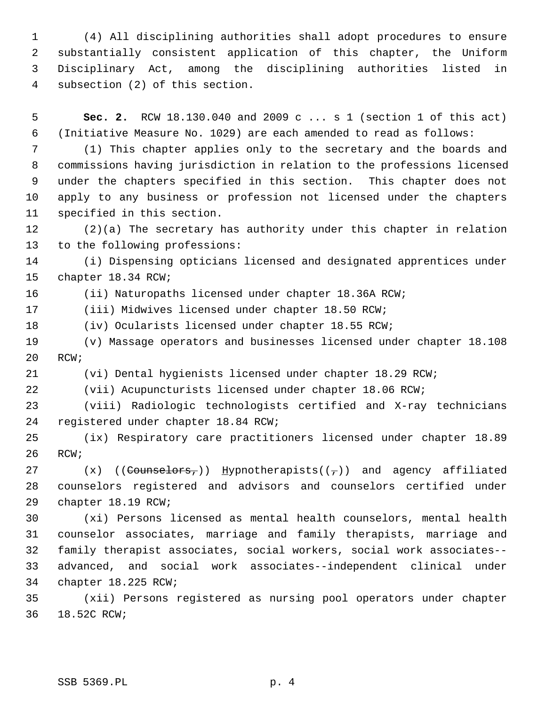1 (4) All disciplining authorities shall adopt procedures to ensure 2 substantially consistent application of this chapter, the Uniform 3 Disciplinary Act, among the disciplining authorities listed in 4 subsection (2) of this section.

 5 **Sec. 2.** RCW 18.130.040 and 2009 c ... s 1 (section 1 of this act) 6 (Initiative Measure No. 1029) are each amended to read as follows:

 7 (1) This chapter applies only to the secretary and the boards and 8 commissions having jurisdiction in relation to the professions licensed 9 under the chapters specified in this section. This chapter does not 10 apply to any business or profession not licensed under the chapters 11 specified in this section.

12 (2)(a) The secretary has authority under this chapter in relation 13 to the following professions:

14 (i) Dispensing opticians licensed and designated apprentices under 15 chapter 18.34 RCW;

16 (ii) Naturopaths licensed under chapter 18.36A RCW;

17 (iii) Midwives licensed under chapter 18.50 RCW;

18 (iv) Ocularists licensed under chapter 18.55 RCW;

19 (v) Massage operators and businesses licensed under chapter 18.108 20 RCW;

21 (vi) Dental hygienists licensed under chapter 18.29 RCW;

22 (vii) Acupuncturists licensed under chapter 18.06 RCW;

23 (viii) Radiologic technologists certified and X-ray technicians 24 registered under chapter 18.84 RCW;

25 (ix) Respiratory care practitioners licensed under chapter 18.89 26 RCW;

27  $(x)$  ((Counselors,)) Hypnotherapists( $(\tau)$ ) and agency affiliated 28 counselors registered and advisors and counselors certified under 29 chapter 18.19 RCW;

30 (xi) Persons licensed as mental health counselors, mental health 31 counselor associates, marriage and family therapists, marriage and 32 family therapist associates, social workers, social work associates-- 33 advanced, and social work associates--independent clinical under 34 chapter 18.225 RCW;

35 (xii) Persons registered as nursing pool operators under chapter 36 18.52C RCW;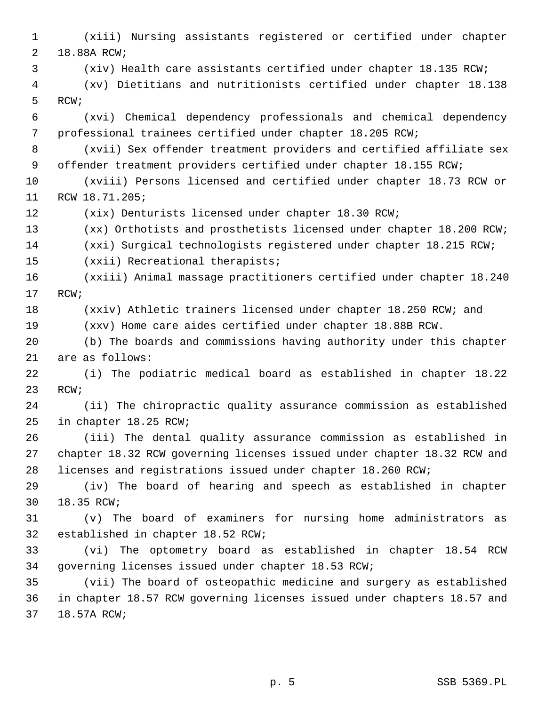1 (xiii) Nursing assistants registered or certified under chapter 2 18.88A RCW; 3 (xiv) Health care assistants certified under chapter 18.135 RCW; 4 (xv) Dietitians and nutritionists certified under chapter 18.138 5 RCW; 6 (xvi) Chemical dependency professionals and chemical dependency 7 professional trainees certified under chapter 18.205 RCW; 8 (xvii) Sex offender treatment providers and certified affiliate sex 9 offender treatment providers certified under chapter 18.155 RCW; 10 (xviii) Persons licensed and certified under chapter 18.73 RCW or 11 RCW 18.71.205; 12 (xix) Denturists licensed under chapter 18.30 RCW; 13 (xx) Orthotists and prosthetists licensed under chapter 18.200 RCW; 14 (xxi) Surgical technologists registered under chapter 18.215 RCW; 15 (xxii) Recreational therapists; 16 (xxiii) Animal massage practitioners certified under chapter 18.240 17 RCW; 18 (xxiv) Athletic trainers licensed under chapter 18.250 RCW; and 19 (xxv) Home care aides certified under chapter 18.88B RCW. 20 (b) The boards and commissions having authority under this chapter 21 are as follows: 22 (i) The podiatric medical board as established in chapter 18.22 23 RCW; 24 (ii) The chiropractic quality assurance commission as established 25 in chapter 18.25 RCW; 26 (iii) The dental quality assurance commission as established in 27 chapter 18.32 RCW governing licenses issued under chapter 18.32 RCW and 28 licenses and registrations issued under chapter 18.260 RCW; 29 (iv) The board of hearing and speech as established in chapter 30 18.35 RCW; 31 (v) The board of examiners for nursing home administrators as 32 established in chapter 18.52 RCW; 33 (vi) The optometry board as established in chapter 18.54 RCW 34 governing licenses issued under chapter 18.53 RCW; 35 (vii) The board of osteopathic medicine and surgery as established 36 in chapter 18.57 RCW governing licenses issued under chapters 18.57 and 37 18.57A RCW;